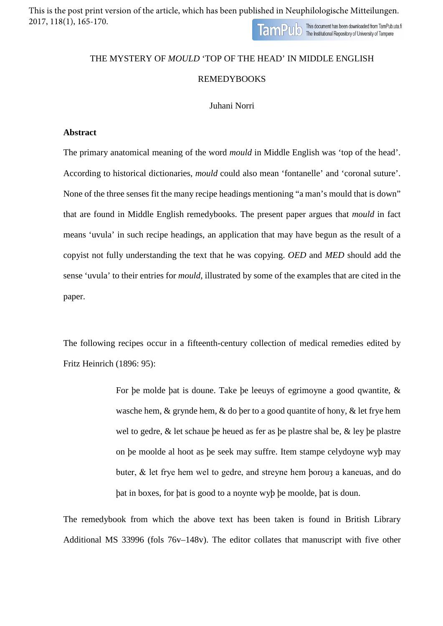This is the post print version of the article, which has been published in Neuphilologische Mitteilungen. 2017, 118(1), 165-170.TamPulo This document has been downloaded from TamPub.uta.fi

## THE MYSTERY OF *MOULD* 'TOP OF THE HEAD' IN MIDDLE ENGLISH REMEDYBOOKS

## Juhani Norri

## **Abstract**

The primary anatomical meaning of the word *mould* in Middle English was 'top of the head'. According to historical dictionaries, *mould* could also mean 'fontanelle' and 'coronal suture'. None of the three senses fit the many recipe headings mentioning "a man's mould that is down" that are found in Middle English remedybooks. The present paper argues that *mould* in fact means 'uvula' in such recipe headings, an application that may have begun as the result of a copyist not fully understanding the text that he was copying. *OED* and *MED* should add the sense 'uvula' to their entries for *mould*, illustrated by some of the examples that are cited in the paper.

The following recipes occur in a fifteenth-century collection of medical remedies edited by Fritz Heinrich (1896: 95):

> For be molde bat is doune. Take be leeuys of egrimoyne a good qwantite,  $\&$ wasche hem, & grynde hem, & do þer to a good quantite of hony, & let frye hem wel to gedre, & let schaue þe heued as fer as þe plastre shal be, & ley þe plastre on þe moolde al hoot as þe seek may suffre. Item stampe celydoyne wyþ may buter, & let frye hem wel to gedre, and streyne hem borou3 a kaneuas, and do þat in boxes, for þat is good to a noynte wyþ þe moolde, þat is doun.

The remedybook from which the above text has been taken is found in British Library Additional MS 33996 (fols 76v–148v). The editor collates that manuscript with five other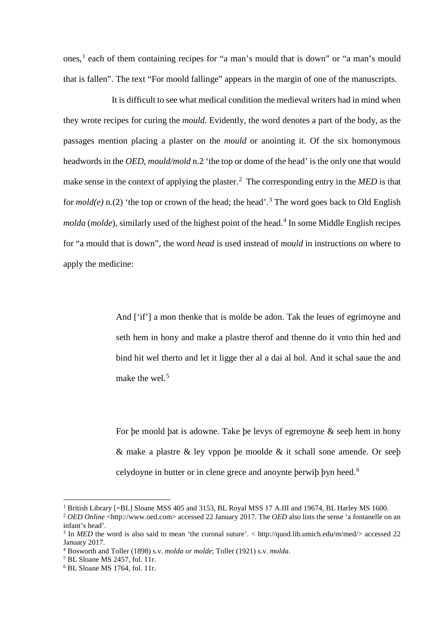ones, [1](#page-1-0) each of them containing recipes for "a man's mould that is down" or "a man's mould that is fallen". The text "For moold fallinge" appears in the margin of one of the manuscripts.

It is difficult to see what medical condition the medieval writers had in mind when they wrote recipes for curing the *mould*. Evidently, the word denotes a part of the body, as the passages mention placing a plaster on the *mould* or anointing it. Of the six homonymous headwords in the *OED*, *mould/mold* n.2 'the top or dome of the head' is the only one that would make sense in the context of applying the plaster.<sup>[2](#page-1-0)</sup> The corresponding entry in the *MED* is that for  $\text{mod}(e)$  n.(2) 'the top or crown of the head; the head'.<sup>[3](#page-1-1)</sup> The word goes back to Old English *molda* (*molde*), similarly used of the highest point of the head.<sup>[4](#page-1-2)</sup> In some Middle English recipes for "a mould that is down", the word *head* is used instead of *mould* in instructions on where to apply the medicine:

> And ['if'] a mon thenke that is molde be adon. Tak the leues of egrimoyne and seth hem in hony and make a plastre therof and thenne do it vnto thin hed and bind hit wel therto and let it ligge ther al a dai al hol. And it schal saue the and make the wel.<sup>[5](#page-1-3)</sup>

> For þe moold þat is adowne. Take þe levys of egremoyne & seeþ hem in hony & make a plastre & ley vppon þe moolde & it schall sone amende. Or seeþ celydoyne in butter or in clene grece and anoynte þerwiþ þyn heed.[6](#page-1-4)

<sup>&</sup>lt;sup>1</sup> British Library [=BL] Sloane MSS 405 and 3153, BL Royal MSS 17 A.III and 19674, BL Harley MS 1600.

<span id="page-1-0"></span><sup>2</sup> *OED Online* <http://www.oed.com> accessed 22 January 2017. The *OED* also lists the sense 'a fontanelle on an infant's head'.

<span id="page-1-1"></span><sup>3</sup> In *MED* the word is also said to mean 'the coronal suture'. < http://quod.lib.umich.edu/m/med/> accessed 22 January 2017.

<span id="page-1-2"></span><sup>4</sup> Bosworth and Toller (1898) s.v. *molda or molde*; Toller (1921) s.v. *molda*.

<sup>5</sup> BL Sloane MS 2457, fol. 11r.

<span id="page-1-4"></span><span id="page-1-3"></span> $6$  BL Sloane MS 1764, fol. 11r.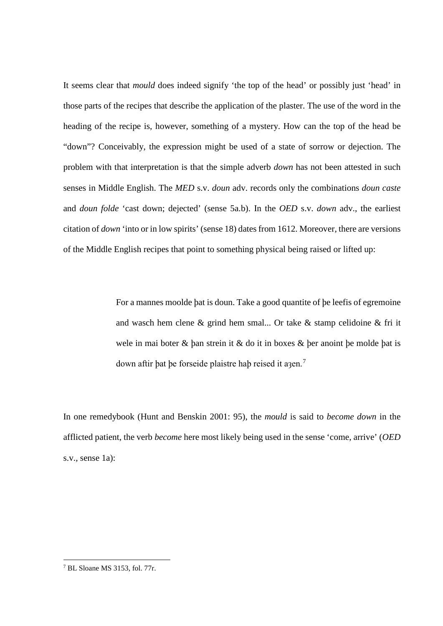It seems clear that *mould* does indeed signify 'the top of the head' or possibly just 'head' in those parts of the recipes that describe the application of the plaster. The use of the word in the heading of the recipe is, however, something of a mystery. How can the top of the head be "down"? Conceivably, the expression might be used of a state of sorrow or dejection. The problem with that interpretation is that the simple adverb *down* has not been attested in such senses in Middle English. The *MED* s.v. *doun* adv. records only the combinations *doun caste* and *doun folde* 'cast down; dejected' (sense 5a.b). In the *OED* s.v. *down* adv., the earliest citation of *down* 'into or in low spirits' (sense 18) dates from 1612. Moreover, there are versions of the Middle English recipes that point to something physical being raised or lifted up:

> For a mannes moolde þat is doun. Take a good quantite of þe leefis of egremoine and wasch hem clene & grind hem smal... Or take & stamp celidoine & fri it wele in mai boter & þan strein it & do it in boxes & þer anoint þe molde þat is down aftir þat þe forseide plaistre haþ reised it aaen.<sup>[7](#page-2-0)</sup>

In one remedybook (Hunt and Benskin 2001: 95), the *mould* is said to *become down* in the afflicted patient, the verb *become* here most likely being used in the sense 'come, arrive' (*OED* s.v., sense 1a):

<span id="page-2-0"></span> <sup>7</sup> BL Sloane MS 3153, fol. 77r.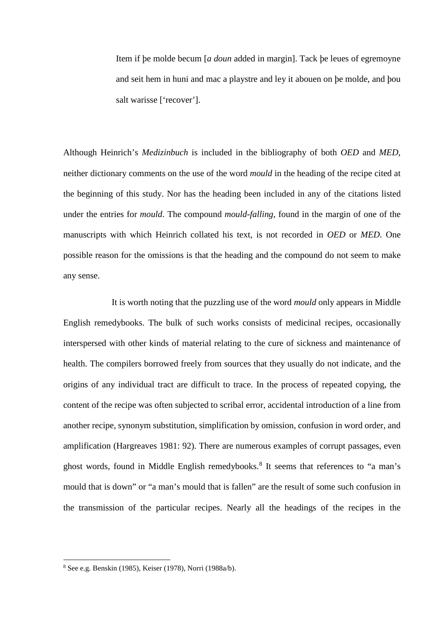Item if þe molde becum [*a doun* added in margin]. Tack þe leues of egremoyne and seit hem in huni and mac a playstre and ley it abouen on þe molde, and þou salt warisse ['recover'].

Although Heinrich's *Medizinbuch* is included in the bibliography of both *OED* and *MED*, neither dictionary comments on the use of the word *mould* in the heading of the recipe cited at the beginning of this study. Nor has the heading been included in any of the citations listed under the entries for *mould*. The compound *mould-falling*, found in the margin of one of the manuscripts with which Heinrich collated his text, is not recorded in *OED* or *MED*. One possible reason for the omissions is that the heading and the compound do not seem to make any sense.

It is worth noting that the puzzling use of the word *mould* only appears in Middle English remedybooks. The bulk of such works consists of medicinal recipes, occasionally interspersed with other kinds of material relating to the cure of sickness and maintenance of health. The compilers borrowed freely from sources that they usually do not indicate, and the origins of any individual tract are difficult to trace. In the process of repeated copying, the content of the recipe was often subjected to scribal error, accidental introduction of a line from another recipe, synonym substitution, simplification by omission, confusion in word order, and amplification (Hargreaves 1981: 92). There are numerous examples of corrupt passages, even ghost words, found in Middle English remedybooks.<sup>[8](#page-3-0)</sup> It seems that references to "a man's mould that is down" or "a man's mould that is fallen" are the result of some such confusion in the transmission of the particular recipes. Nearly all the headings of the recipes in the

<span id="page-3-0"></span> <sup>8</sup> See e.g. Benskin (1985), Keiser (1978), Norri (1988a/b).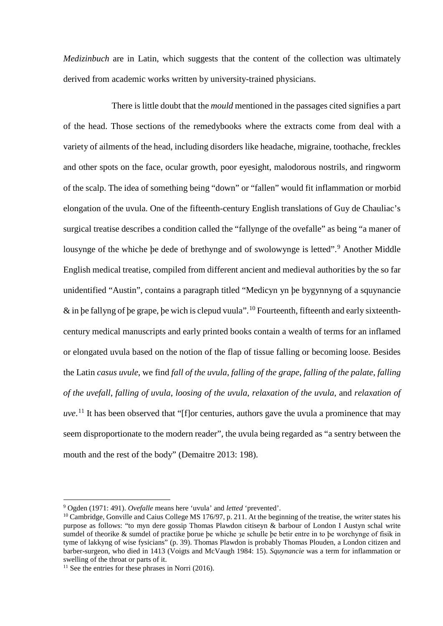*Medizinbuch* are in Latin, which suggests that the content of the collection was ultimately derived from academic works written by university-trained physicians.

There is little doubt that the *mould* mentioned in the passages cited signifies a part of the head. Those sections of the remedybooks where the extracts come from deal with a variety of ailments of the head, including disorders like headache, migraine, toothache, freckles and other spots on the face, ocular growth, poor eyesight, malodorous nostrils, and ringworm of the scalp. The idea of something being "down" or "fallen" would fit inflammation or morbid elongation of the uvula. One of the fifteenth-century English translations of Guy de Chauliac's surgical treatise describes a condition called the "fallynge of the ovefalle" as being "a maner of lousynge of the whiche be dede of brethynge and of swolowynge is letted".<sup>[9](#page-4-0)</sup> Another Middle English medical treatise, compiled from different ancient and medieval authorities by the so far unidentified "Austin", contains a paragraph titled "Medicyn yn þe bygynnyng of a squynancie  $\&$  in be fallyng of be grape, be wich is clepud vuula". <sup>[10](#page-4-1)</sup> Fourteenth, fifteenth and early sixteenthcentury medical manuscripts and early printed books contain a wealth of terms for an inflamed or elongated uvula based on the notion of the flap of tissue falling or becoming loose. Besides the Latin *casus uvule*, we find *fall of the uvula*, *falling of the grape*, *falling of the palate*, *falling of the uvefall*, *falling of uvula*, *loosing of the uvula*, *relaxation of the uvula*, and *relaxation of uve*. [11](#page-4-2) It has been observed that "[f]or centuries, authors gave the uvula a prominence that may seem disproportionate to the modern reader", the uvula being regarded as "a sentry between the mouth and the rest of the body" (Demaitre 2013: 198).

<span id="page-4-0"></span> <sup>9</sup> Ogden (1971: 491). *Ovefalle* means here 'uvula' and *letted* 'prevented'.

<span id="page-4-1"></span> $10$  Cambridge, Gonville and Caius College MS 176/97, p. 211. At the beginning of the treatise, the writer states his purpose as follows: "to myn dere gossip Thomas Plawdon citiseyn & barbour of London I Austyn schal write sumdel of theorike & sumdel of practike borue be whiche *ze* schulle be betir entre in to be worchynge of fisik in tyme of lakkyng of wise fysicians" (p. 39). Thomas Plawdon is probably Thomas Plouden, a London citizen and barber-surgeon, who died in 1413 (Voigts and McVaugh 1984: 15). *Squynancie* was a term for inflammation or swelling of the throat or parts of it.

<span id="page-4-2"></span> $11$  See the entries for these phrases in Norri (2016).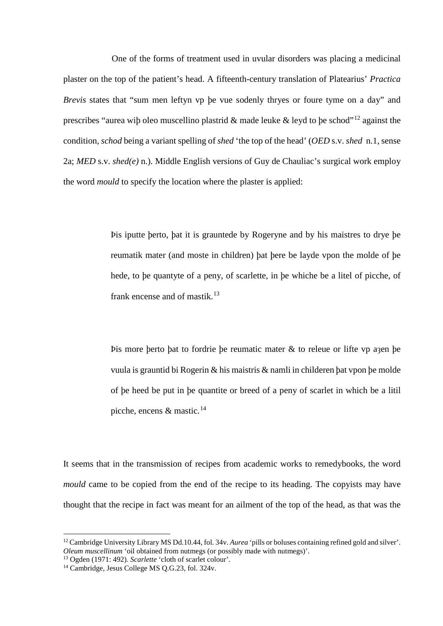One of the forms of treatment used in uvular disorders was placing a medicinal plaster on the top of the patient's head. A fifteenth-century translation of Platearius' *Practica Brevis* states that "sum men leftyn vp þe vue sodenly thryes or foure tyme on a day" and prescribes "aurea wip oleo muscellino plastrid & made leuke & leyd to be schod"<sup>[12](#page-5-0)</sup> against the condition, *schod* being a variant spelling of *shed* 'the top of the head' (*OED* s.v. *shed* n.1, sense 2a; *MED* s.v. *shed(e)* n.). Middle English versions of Guy de Chauliac's surgical work employ the word *mould* to specify the location where the plaster is applied:

> Þis iputte þerto, þat it is grauntede by Rogeryne and by his maistres to drye þe reumatik mater (and moste in children) þat þere be layde vpon the molde of þe hede, to þe quantyte of a peny, of scarlette, in þe whiche be a litel of picche, of frank encense and of mastik.<sup>[13](#page-5-1)</sup>

> Þis more þerto þat to fordrie þe reumatic mater & to releue or lifte vp aȝen þe vuula is grauntid bi Rogerin & his maistris & namli in childeren þat vpon þe molde of þe heed be put in þe quantite or breed of a peny of scarlet in which be a litil picche, encens & mastic.<sup>[14](#page-5-2)</sup>

It seems that in the transmission of recipes from academic works to remedybooks, the word *mould* came to be copied from the end of the recipe to its heading. The copyists may have thought that the recipe in fact was meant for an ailment of the top of the head, as that was the

<span id="page-5-0"></span> <sup>12</sup> Cambridge University Library MS Dd.10.44, fol. 34v. *Aurea* 'pills or boluses containing refined gold and silver'. *Oleum muscellinum* 'oil obtained from nutmegs (or possibly made with nutmegs)'.

<span id="page-5-1"></span><sup>13</sup> Ogden (1971: 492). *Scarlette* 'cloth of scarlet colour'.

<span id="page-5-2"></span><sup>&</sup>lt;sup>14</sup> Cambridge, Jesus College MS O.G.23, fol. 324v.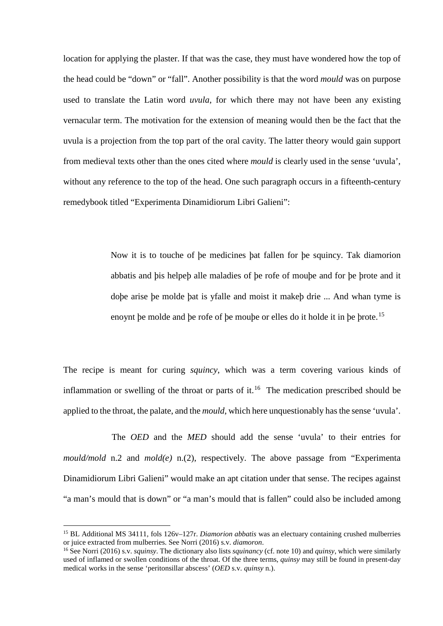location for applying the plaster. If that was the case, they must have wondered how the top of the head could be "down" or "fall". Another possibility is that the word *mould* was on purpose used to translate the Latin word *uvula*, for which there may not have been any existing vernacular term. The motivation for the extension of meaning would then be the fact that the uvula is a projection from the top part of the oral cavity. The latter theory would gain support from medieval texts other than the ones cited where *mould* is clearly used in the sense 'uvula', without any reference to the top of the head. One such paragraph occurs in a fifteenth-century remedybook titled "Experimenta Dinamidiorum Libri Galieni":

> Now it is to touche of þe medicines þat fallen for þe squincy. Tak diamorion abbatis and þis helpeþ alle maladies of þe rofe of mouþe and for þe þrote and it doþe arise þe molde þat is yfalle and moist it makeþ drie ... And whan tyme is enoynt þe molde and þe rofe of þe mouþe or elles do it holde it in þe þrote.[15](#page-6-0)

The recipe is meant for curing *squincy*, which was a term covering various kinds of inflammation or swelling of the throat or parts of it.<sup>[16](#page-6-1)</sup> The medication prescribed should be applied to the throat, the palate, and the *mould*, which here unquestionably has the sense 'uvula'.

The *OED* and the *MED* should add the sense 'uvula' to their entries for *mould/mold* n.2 and *mold(e)* n.(2), respectively. The above passage from "Experimenta Dinamidiorum Libri Galieni" would make an apt citation under that sense. The recipes against "a man's mould that is down" or "a man's mould that is fallen" could also be included among

<span id="page-6-0"></span> <sup>15</sup> BL Additional MS 34111, fols 126v–127r. *Diamorion abbatis* was an electuary containing crushed mulberries or juice extracted from mulberries. See Norri (2016) s.v. *diamoron*.

<span id="page-6-1"></span><sup>16</sup> See Norri (2016) s.v. *squinsy*. The dictionary also lists *squinancy* (cf. note 10) and *quinsy*, which were similarly used of inflamed or swollen conditions of the throat. Of the three terms, *quinsy* may still be found in present-day medical works in the sense 'peritonsillar abscess' (*OED* s.v. *quinsy* n.).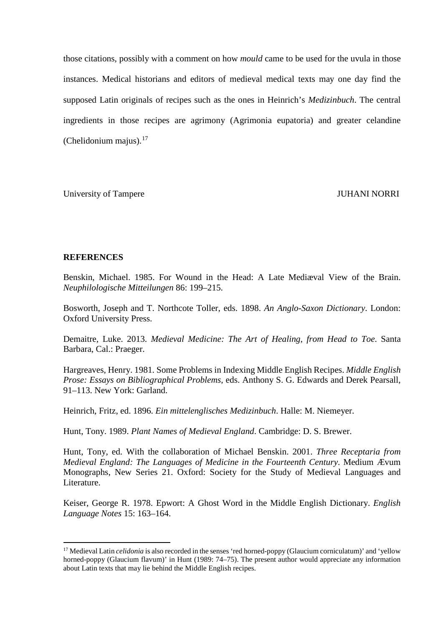those citations, possibly with a comment on how *mould* came to be used for the uvula in those instances. Medical historians and editors of medieval medical texts may one day find the supposed Latin originals of recipes such as the ones in Heinrich's *Medizinbuch*. The central ingredients in those recipes are agrimony (Agrimonia eupatoria) and greater celandine (Chelidonium majus). $17$ 

University of Tampere **IVE SET ASSESSED ASSESSED A** SUPPORTED JUHANI NORRI

## **REFERENCES**

Benskin, Michael. 1985. For Wound in the Head: A Late Mediæval View of the Brain. *Neuphilologische Mitteilungen* 86: 199–215.

Bosworth, Joseph and T. Northcote Toller, eds. 1898. *An Anglo-Saxon Dictionary*. London: Oxford University Press.

Demaitre, Luke. 2013. *Medieval Medicine: The Art of Healing, from Head to Toe*. Santa Barbara, Cal.: Praeger.

Hargreaves, Henry. 1981. Some Problems in Indexing Middle English Recipes. *Middle English Prose: Essays on Bibliographical Problems*, eds. Anthony S. G. Edwards and Derek Pearsall, 91–113. New York: Garland.

Heinrich, Fritz, ed. 1896. *Ein mittelenglisches Medizinbuch*. Halle: M. Niemeyer.

Hunt, Tony. 1989. *Plant Names of Medieval England*. Cambridge: D. S. Brewer.

Hunt, Tony, ed. With the collaboration of Michael Benskin. 2001. *Three Receptaria from Medieval England: The Languages of Medicine in the Fourteenth Century*. Medium Ævum Monographs, New Series 21. Oxford: Society for the Study of Medieval Languages and Literature.

Keiser, George R. 1978. Epwort: A Ghost Word in the Middle English Dictionary. *English Language Notes* 15: 163–164.

<span id="page-7-0"></span><sup>&</sup>lt;sup>17</sup> Medieval Latin *celidonia* is also recorded in the senses 'red horned-poppy (Glaucium corniculatum)' and 'yellow horned-poppy (Glaucium flavum)' in Hunt (1989: 74–75). The present author would appreciate any information about Latin texts that may lie behind the Middle English recipes.